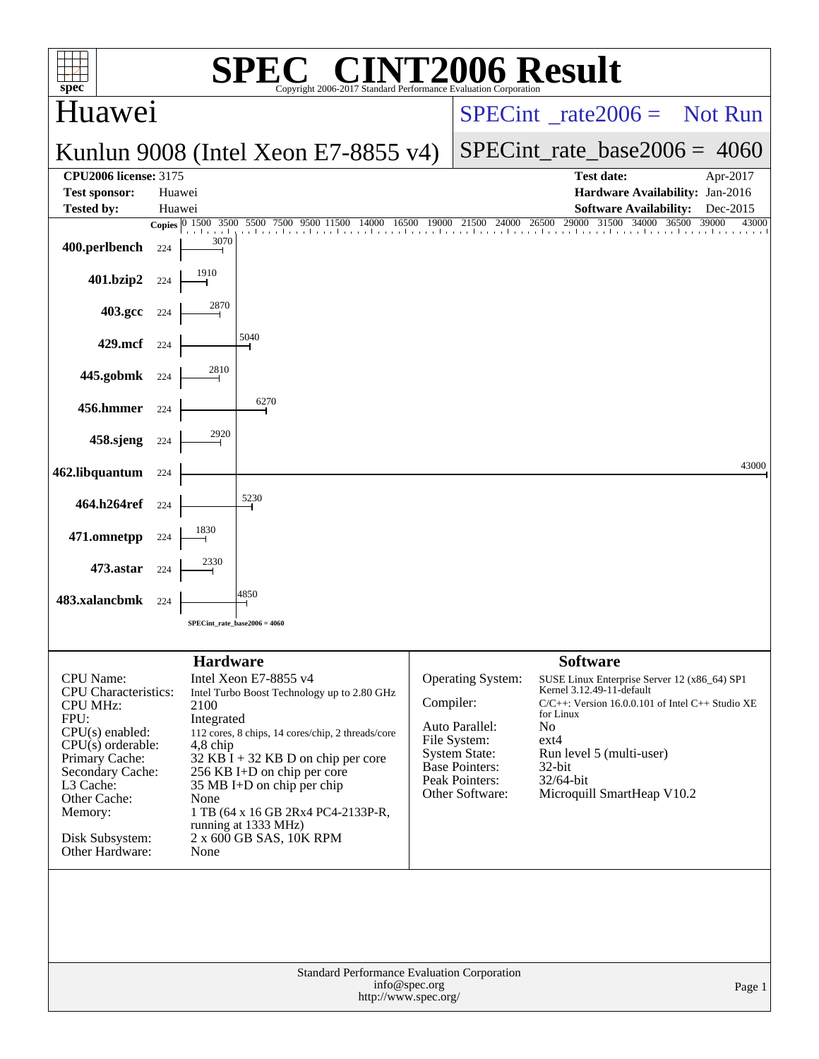|                                                             |                  |                 | $\bigwedge$                                                                                                                                                                |                                          |                                        |                             |                                |                                                                                                       |  |
|-------------------------------------------------------------|------------------|-----------------|----------------------------------------------------------------------------------------------------------------------------------------------------------------------------|------------------------------------------|----------------------------------------|-----------------------------|--------------------------------|-------------------------------------------------------------------------------------------------------|--|
| $\mathbf{Spec}^*$                                           |                  |                 | Copyright 2006-2017 Standard Performance Evaluation Corporation                                                                                                            |                                          | <b>INT2006 Result</b>                  |                             |                                |                                                                                                       |  |
| Huawei                                                      |                  |                 |                                                                                                                                                                            | $SPECint^*_{\text{rate}} 2006 =$ Not Run |                                        |                             |                                |                                                                                                       |  |
|                                                             |                  |                 | Kunlun 9008 (Intel Xeon E7-8855 v4)                                                                                                                                        |                                          |                                        |                             | $SPECint_rate_base2006 = 4060$ |                                                                                                       |  |
| <b>CPU2006 license: 3175</b>                                |                  |                 |                                                                                                                                                                            |                                          |                                        |                             | Test date:                     | Apr-2017                                                                                              |  |
| <b>Test sponsor:</b><br><b>Tested by:</b>                   | Huawei<br>Huawei |                 |                                                                                                                                                                            |                                          |                                        |                             | <b>Software Availability:</b>  | Hardware Availability: Jan-2016<br>Dec-2015                                                           |  |
|                                                             |                  |                 | <b>Copies</b> $\begin{bmatrix} 0 & 1500 & 3500 & 5500 & 7500 & 9500 & 11500 & 14000 & 16500 & 19000 & 21500 & 24000 & 26500 & 29000 & 31500 & 34000 & 36500 \end{bmatrix}$ |                                          |                                        |                             |                                | 39000<br>43000                                                                                        |  |
| 400.perlbench                                               | 224              | 3070            |                                                                                                                                                                            |                                          |                                        |                             |                                |                                                                                                       |  |
| 401.bzip2                                                   | 224              |                 |                                                                                                                                                                            |                                          |                                        |                             |                                |                                                                                                       |  |
| 403.gcc 224                                                 |                  |                 |                                                                                                                                                                            |                                          |                                        |                             |                                |                                                                                                       |  |
| 429.mcf                                                     | 224              |                 | 5040                                                                                                                                                                       |                                          |                                        |                             |                                |                                                                                                       |  |
| 445.gobmk                                                   | 224              |                 |                                                                                                                                                                            |                                          |                                        |                             |                                |                                                                                                       |  |
| 456.hmmer                                                   | 224              |                 | 6270                                                                                                                                                                       |                                          |                                        |                             |                                |                                                                                                       |  |
| 458.sjeng                                                   | 224              |                 |                                                                                                                                                                            |                                          |                                        |                             |                                |                                                                                                       |  |
| 462.libquantum                                              | 224              |                 |                                                                                                                                                                            |                                          |                                        |                             |                                | 43000                                                                                                 |  |
| 464.h264ref                                                 | 224              |                 | 5230                                                                                                                                                                       |                                          |                                        |                             |                                |                                                                                                       |  |
| 471.omnetpp                                                 | 224              |                 |                                                                                                                                                                            |                                          |                                        |                             |                                |                                                                                                       |  |
| 473.astar                                                   | 224              |                 |                                                                                                                                                                            |                                          |                                        |                             |                                |                                                                                                       |  |
| 483.xalancbmk                                               | 224              |                 | 4850                                                                                                                                                                       |                                          |                                        |                             |                                |                                                                                                       |  |
|                                                             |                  |                 | $SPECint_rate_base2006 = 4060$                                                                                                                                             |                                          |                                        |                             |                                |                                                                                                       |  |
|                                                             |                  | <b>Hardware</b> |                                                                                                                                                                            |                                          |                                        | <b>Software</b>             |                                |                                                                                                       |  |
| CPU Name:<br><b>CPU</b> Characteristics:<br><b>CPU MHz:</b> |                  | 2100            | Intel Xeon E7-8855 v4<br>Intel Turbo Boost Technology up to 2.80 GHz                                                                                                       | Compiler:                                | <b>Operating System:</b>               |                             | Kernel 3.12.49-11-default      | SUSE Linux Enterprise Server 12 (x86_64) SP1<br>$C/C++$ : Version 16.0.0.101 of Intel $C++$ Studio XE |  |
| FPU:                                                        |                  | Integrated      |                                                                                                                                                                            |                                          | Auto Parallel:                         | for Linux<br>N <sub>o</sub> |                                |                                                                                                       |  |
| $CPU(s)$ enabled:<br>$CPU(s)$ orderable:                    |                  | 4,8 chip        | 112 cores, 8 chips, 14 cores/chip, 2 threads/core                                                                                                                          |                                          | File System:                           | $ext{4}$                    |                                |                                                                                                       |  |
| Primary Cache:<br>Secondary Cache:                          |                  |                 | $32$ KB I + 32 KB D on chip per core<br>256 KB I+D on chip per core                                                                                                        |                                          | <b>System State:</b><br>Base Pointers: | $32$ -bit                   | Run level 5 (multi-user)       |                                                                                                       |  |
| L3 Cache:                                                   |                  |                 | 35 MB I+D on chip per chip                                                                                                                                                 |                                          | Peak Pointers:<br>Other Software:      | $32/64$ -bit                | Microquill SmartHeap V10.2     |                                                                                                       |  |
| Other Cache:<br>Memory:                                     |                  | None            | 1 TB (64 x 16 GB 2Rx4 PC4-2133P-R,                                                                                                                                         |                                          |                                        |                             |                                |                                                                                                       |  |
| Disk Subsystem:<br>Other Hardware:                          |                  | None            | running at 1333 MHz)<br>2 x 600 GB SAS, 10K RPM                                                                                                                            |                                          |                                        |                             |                                |                                                                                                       |  |
|                                                             |                  |                 |                                                                                                                                                                            |                                          |                                        |                             |                                |                                                                                                       |  |
|                                                             |                  |                 |                                                                                                                                                                            |                                          |                                        |                             |                                |                                                                                                       |  |
|                                                             |                  |                 |                                                                                                                                                                            |                                          |                                        |                             |                                |                                                                                                       |  |
|                                                             |                  |                 | Standard Performance Evaluation Corporation                                                                                                                                |                                          |                                        |                             |                                |                                                                                                       |  |
|                                                             |                  |                 | http://www.spec.org/                                                                                                                                                       | info@spec.org                            |                                        |                             |                                | Page 1                                                                                                |  |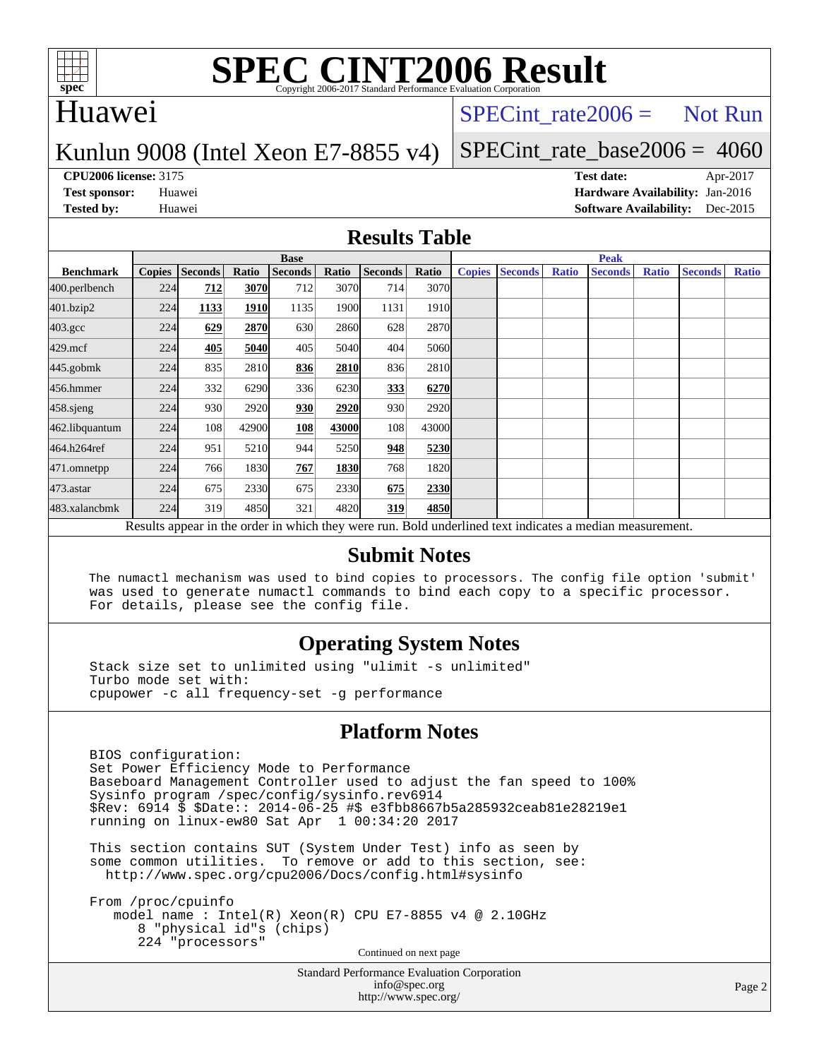

### Huawei

### $SPECTnt_rate2006 = Not Run$

### Kunlun 9008 (Intel Xeon E7-8855 v4)

### [SPECint\\_rate\\_base2006 =](http://www.spec.org/auto/cpu2006/Docs/result-fields.html#SPECintratebase2006) 4060

**[CPU2006 license:](http://www.spec.org/auto/cpu2006/Docs/result-fields.html#CPU2006license)** 3175 **[Test date:](http://www.spec.org/auto/cpu2006/Docs/result-fields.html#Testdate)** Apr-2017 **[Test sponsor:](http://www.spec.org/auto/cpu2006/Docs/result-fields.html#Testsponsor)** Huawei **[Hardware Availability:](http://www.spec.org/auto/cpu2006/Docs/result-fields.html#HardwareAvailability)** Jan-2016 **[Tested by:](http://www.spec.org/auto/cpu2006/Docs/result-fields.html#Testedby)** Huawei **[Software Availability:](http://www.spec.org/auto/cpu2006/Docs/result-fields.html#SoftwareAvailability)** Dec-2015

### **[Results Table](http://www.spec.org/auto/cpu2006/Docs/result-fields.html#ResultsTable)**

|                                                                                                          | <b>Base</b>   |                |       |                |       |         |       | <b>Peak</b>   |                |              |                |              |                |              |
|----------------------------------------------------------------------------------------------------------|---------------|----------------|-------|----------------|-------|---------|-------|---------------|----------------|--------------|----------------|--------------|----------------|--------------|
| <b>Benchmark</b>                                                                                         | <b>Copies</b> | <b>Seconds</b> | Ratio | <b>Seconds</b> | Ratio | Seconds | Ratio | <b>Copies</b> | <b>Seconds</b> | <b>Ratio</b> | <b>Seconds</b> | <b>Ratio</b> | <b>Seconds</b> | <b>Ratio</b> |
| 400.perlbench                                                                                            | 224           | 712            | 3070  | 712            | 3070  | 714     | 3070l |               |                |              |                |              |                |              |
| 401.bzip2                                                                                                | 224           | 1133           | 1910  | 1135           | 1900  | 1131    | 1910  |               |                |              |                |              |                |              |
| $403.\mathrm{gcc}$                                                                                       | 224           | 629            | 2870  | 630            | 2860  | 628     | 2870  |               |                |              |                |              |                |              |
| $429$ .mcf                                                                                               | 224           | 405            | 5040  | 405            | 5040  | 404     | 5060  |               |                |              |                |              |                |              |
| $445$ .gobm $k$                                                                                          | 224           | 835            | 2810  | 836            | 2810  | 836     | 2810  |               |                |              |                |              |                |              |
| 456.hmmer                                                                                                | 224           | 332            | 6290  | 336            | 6230  | 333     | 6270  |               |                |              |                |              |                |              |
| $458$ .sjeng                                                                                             | 224           | 930            | 2920  | 930            | 2920  | 930     | 2920  |               |                |              |                |              |                |              |
| 462.libquantum                                                                                           | 224           | 108            | 42900 | 108            | 43000 | 108     | 43000 |               |                |              |                |              |                |              |
| 464.h264ref                                                                                              | 224           | 951            | 5210  | 944            | 5250  | 948     | 5230  |               |                |              |                |              |                |              |
| 471.omnetpp                                                                                              | 224           | 766            | 1830  | 767            | 1830  | 768     | 1820  |               |                |              |                |              |                |              |
| 473.astar                                                                                                | 224           | 675            | 2330  | 675            | 2330  | 675     | 2330  |               |                |              |                |              |                |              |
| 483.xalancbmk                                                                                            | 224           | 319            | 4850  | 321            | 4820  | 319     | 4850  |               |                |              |                |              |                |              |
| Results appear in the order in which they were run. Bold underlined text indicates a median measurement. |               |                |       |                |       |         |       |               |                |              |                |              |                |              |

### **[Submit Notes](http://www.spec.org/auto/cpu2006/Docs/result-fields.html#SubmitNotes)**

 The numactl mechanism was used to bind copies to processors. The config file option 'submit' was used to generate numactl commands to bind each copy to a specific processor. For details, please see the config file.

### **[Operating System Notes](http://www.spec.org/auto/cpu2006/Docs/result-fields.html#OperatingSystemNotes)**

 Stack size set to unlimited using "ulimit -s unlimited" Turbo mode set with: cpupower -c all frequency-set -g performance

### **[Platform Notes](http://www.spec.org/auto/cpu2006/Docs/result-fields.html#PlatformNotes)**

 BIOS configuration: Set Power Efficiency Mode to Performance Baseboard Management Controller used to adjust the fan speed to 100% Sysinfo program /spec/config/sysinfo.rev6914 \$Rev: 6914 \$ \$Date:: 2014-06-25 #\$ e3fbb8667b5a285932ceab81e28219e1 running on linux-ew80 Sat Apr 1 00:34:20 2017

 This section contains SUT (System Under Test) info as seen by some common utilities. To remove or add to this section, see: <http://www.spec.org/cpu2006/Docs/config.html#sysinfo>

 From /proc/cpuinfo model name : Intel(R) Xeon(R) CPU E7-8855 v4 @ 2.10GHz 8 "physical id"s (chips) 224 "processors" Continued on next page

> Standard Performance Evaluation Corporation [info@spec.org](mailto:info@spec.org) <http://www.spec.org/>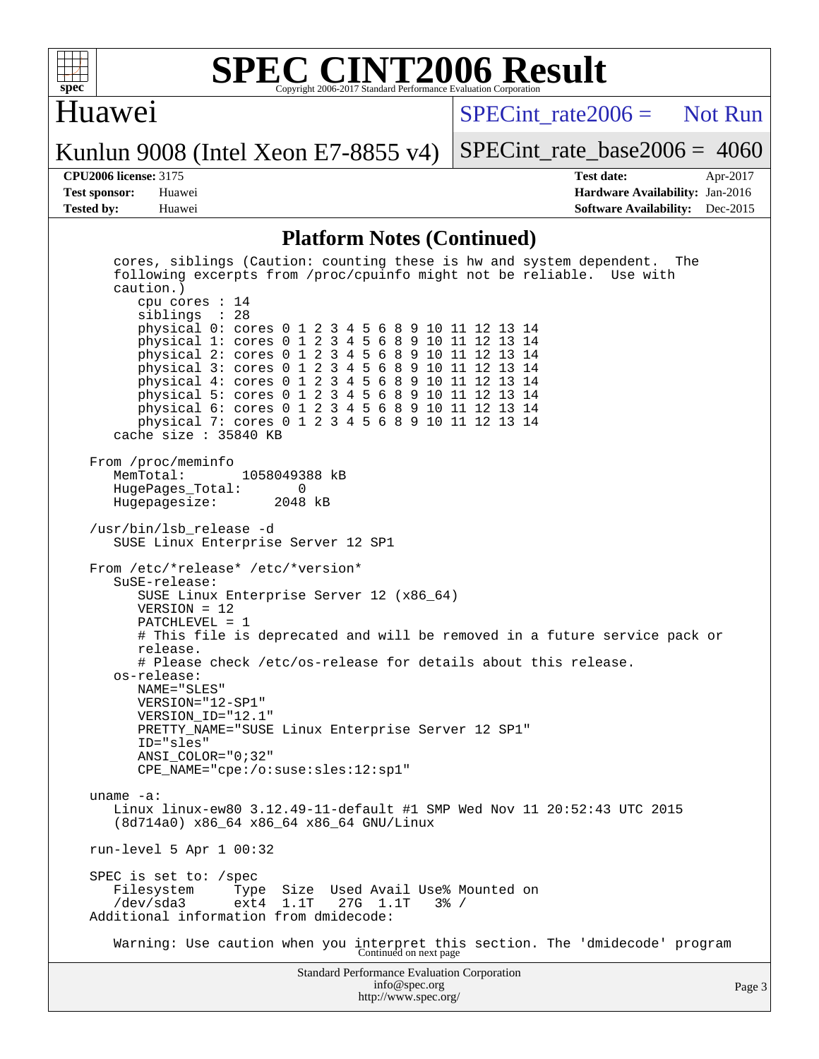

### Huawei

 $SPECint rate2006 =$  Not Run

Kunlun 9008 (Intel Xeon E7-8855 v4)

[SPECint\\_rate\\_base2006 =](http://www.spec.org/auto/cpu2006/Docs/result-fields.html#SPECintratebase2006) 4060

**[CPU2006 license:](http://www.spec.org/auto/cpu2006/Docs/result-fields.html#CPU2006license)** 3175 **[Test date:](http://www.spec.org/auto/cpu2006/Docs/result-fields.html#Testdate)** Apr-2017 **[Test sponsor:](http://www.spec.org/auto/cpu2006/Docs/result-fields.html#Testsponsor)** Huawei **[Hardware Availability:](http://www.spec.org/auto/cpu2006/Docs/result-fields.html#HardwareAvailability)** Jan-2016 **[Tested by:](http://www.spec.org/auto/cpu2006/Docs/result-fields.html#Testedby)** Huawei **[Software Availability:](http://www.spec.org/auto/cpu2006/Docs/result-fields.html#SoftwareAvailability)** Dec-2015

### **[Platform Notes \(Continued\)](http://www.spec.org/auto/cpu2006/Docs/result-fields.html#PlatformNotes)**

Standard Performance Evaluation Corporation [info@spec.org](mailto:info@spec.org) Page 3 cores, siblings (Caution: counting these is hw and system dependent. The following excerpts from /proc/cpuinfo might not be reliable. Use with caution.) cpu cores : 14 siblings : 28 physical 0: cores 0 1 2 3 4 5 6 8 9 10 11 12 13 14 physical 1: cores 0 1 2 3 4 5 6 8 9 10 11 12 13 14 physical 2: cores 0 1 2 3 4 5 6 8 9 10 11 12 13 14 physical 3: cores 0 1 2 3 4 5 6 8 9 10 11 12 13 14 physical 4: cores 0 1 2 3 4 5 6 8 9 10 11 12 13 14 physical 5: cores 0 1 2 3 4 5 6 8 9 10 11 12 13 14 physical 6: cores 0 1 2 3 4 5 6 8 9 10 11 12 13 14 physical 7: cores 0 1 2 3 4 5 6 8 9 10 11 12 13 14 cache size : 35840 KB From /proc/meminfo<br>MemTotal: 1058049388 kB HugePages\_Total: 0 Hugepagesize: /usr/bin/lsb\_release -d SUSE Linux Enterprise Server 12 SP1 From /etc/\*release\* /etc/\*version\* SuSE-release: SUSE Linux Enterprise Server 12 (x86\_64) VERSION = 12 PATCHLEVEL = 1 # This file is deprecated and will be removed in a future service pack or release. # Please check /etc/os-release for details about this release. os-release: NAME="SLES" VERSION="12-SP1" VERSION\_ID="12.1" PRETTY\_NAME="SUSE Linux Enterprise Server 12 SP1" ID="sles" ANSI\_COLOR="0;32" CPE\_NAME="cpe:/o:suse:sles:12:sp1" uname -a: Linux linux-ew80 3.12.49-11-default #1 SMP Wed Nov 11 20:52:43 UTC 2015 (8d714a0) x86\_64 x86\_64 x86\_64 GNU/Linux run-level 5 Apr 1 00:32 SPEC is set to: /spec Filesystem Type Size Used Avail Use% Mounted on /dev/sda3 ext4 1.1T 27G 1.1T 3% / Additional information from dmidecode: Warning: Use caution when you interpret this section. The 'dmidecode' program Continued on next page

<http://www.spec.org/>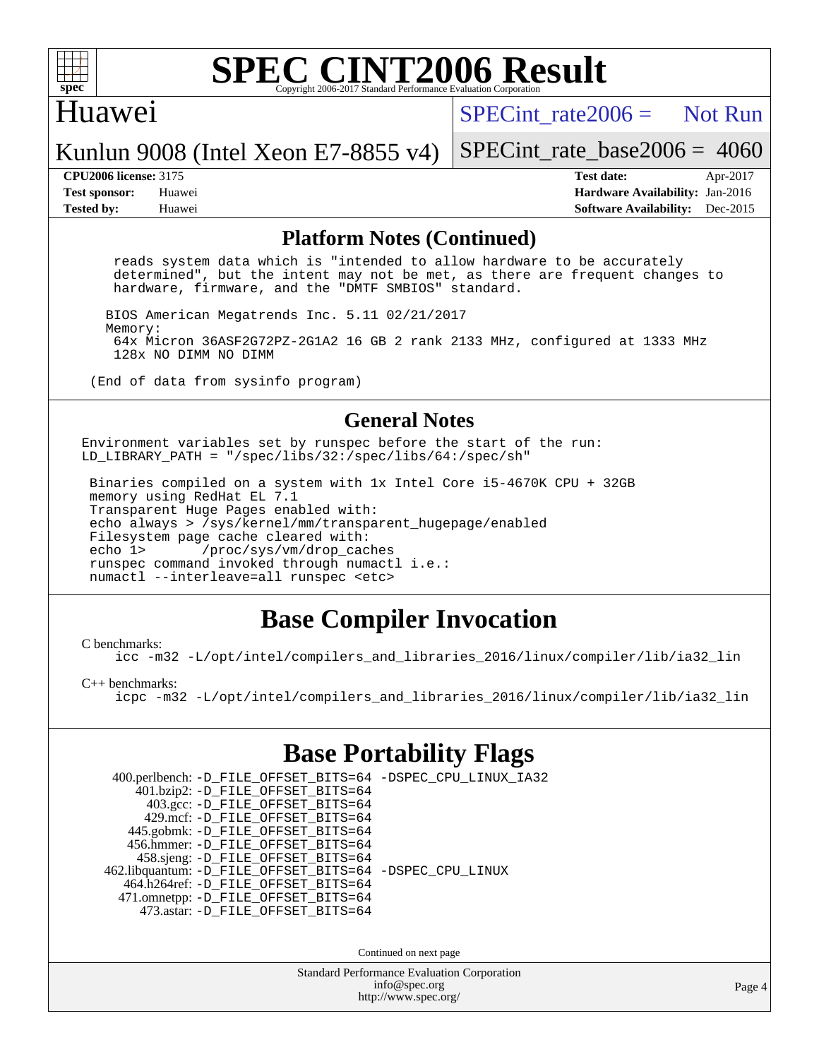

### Huawei

 $SPECint rate2006 =$  Not Run

Kunlun 9008 (Intel Xeon E7-8855 v4)

[SPECint\\_rate\\_base2006 =](http://www.spec.org/auto/cpu2006/Docs/result-fields.html#SPECintratebase2006) 4060

**[CPU2006 license:](http://www.spec.org/auto/cpu2006/Docs/result-fields.html#CPU2006license)** 3175 **[Test date:](http://www.spec.org/auto/cpu2006/Docs/result-fields.html#Testdate)** Apr-2017 **[Test sponsor:](http://www.spec.org/auto/cpu2006/Docs/result-fields.html#Testsponsor)** Huawei **[Hardware Availability:](http://www.spec.org/auto/cpu2006/Docs/result-fields.html#HardwareAvailability)** Jan-2016 **[Tested by:](http://www.spec.org/auto/cpu2006/Docs/result-fields.html#Testedby)** Huawei **[Software Availability:](http://www.spec.org/auto/cpu2006/Docs/result-fields.html#SoftwareAvailability)** Dec-2015

### **[Platform Notes \(Continued\)](http://www.spec.org/auto/cpu2006/Docs/result-fields.html#PlatformNotes)**

 reads system data which is "intended to allow hardware to be accurately determined", but the intent may not be met, as there are frequent changes to hardware, firmware, and the "DMTF SMBIOS" standard.

BIOS American Megatrends Inc. 5.11 02/21/2017

 Memory: 64x Micron 36ASF2G72PZ-2G1A2 16 GB 2 rank 2133 MHz, configured at 1333 MHz 128x NO DIMM NO DIMM

(End of data from sysinfo program)

### **[General Notes](http://www.spec.org/auto/cpu2006/Docs/result-fields.html#GeneralNotes)**

Environment variables set by runspec before the start of the run: LD\_LIBRARY\_PATH = "/spec/libs/32:/spec/libs/64:/spec/sh"

 Binaries compiled on a system with 1x Intel Core i5-4670K CPU + 32GB memory using RedHat EL 7.1 Transparent Huge Pages enabled with: echo always > /sys/kernel/mm/transparent\_hugepage/enabled Filesystem page cache cleared with: echo 1> /proc/sys/vm/drop\_caches runspec command invoked through numactl i.e.: numactl --interleave=all runspec <etc>

### **[Base Compiler Invocation](http://www.spec.org/auto/cpu2006/Docs/result-fields.html#BaseCompilerInvocation)**

[C benchmarks](http://www.spec.org/auto/cpu2006/Docs/result-fields.html#Cbenchmarks):

[icc -m32 -L/opt/intel/compilers\\_and\\_libraries\\_2016/linux/compiler/lib/ia32\\_lin](http://www.spec.org/cpu2006/results/res2017q4/cpu2006-20170918-50042.flags.html#user_CCbase_intel_icc_e10256ba5924b668798078a321b0cb3f)

### [C++ benchmarks:](http://www.spec.org/auto/cpu2006/Docs/result-fields.html#CXXbenchmarks)

[icpc -m32 -L/opt/intel/compilers\\_and\\_libraries\\_2016/linux/compiler/lib/ia32\\_lin](http://www.spec.org/cpu2006/results/res2017q4/cpu2006-20170918-50042.flags.html#user_CXXbase_intel_icpc_b4f50a394bdb4597aa5879c16bc3f5c5)

### **[Base Portability Flags](http://www.spec.org/auto/cpu2006/Docs/result-fields.html#BasePortabilityFlags)**

| 400.perlbench: -D_FILE_OFFSET_BITS=64 -DSPEC_CPU_LINUX_IA32 |  |
|-------------------------------------------------------------|--|
| 401.bzip2: -D_FILE_OFFSET_BITS=64                           |  |
| 403.gcc: -D_FILE_OFFSET_BITS=64                             |  |
| 429.mcf: -D FILE OFFSET BITS=64                             |  |
| 445.gobmk: -D_FILE_OFFSET_BITS=64                           |  |
| 456.hmmer: -D FILE OFFSET BITS=64                           |  |
| 458.sjeng: -D_FILE_OFFSET_BITS=64                           |  |
| 462.libquantum: -D_FILE_OFFSET_BITS=64 -DSPEC_CPU_LINUX     |  |
| 464.h264ref: -D FILE OFFSET BITS=64                         |  |
| 471.omnetpp: - D_FILE_OFFSET_BITS=64                        |  |
| 473.astar: -D FILE OFFSET BITS=64                           |  |
|                                                             |  |

Continued on next page

Standard Performance Evaluation Corporation [info@spec.org](mailto:info@spec.org) <http://www.spec.org/>